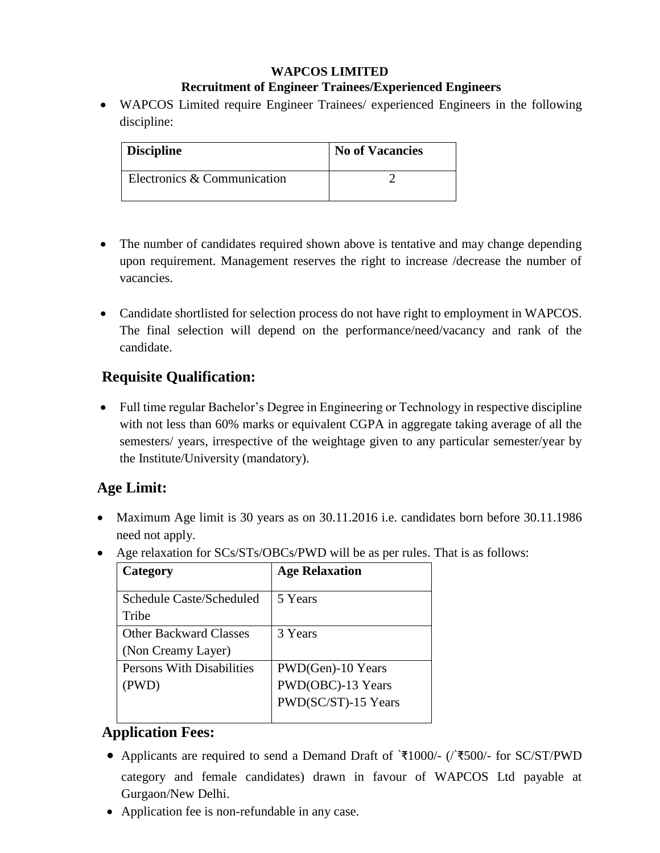#### **WAPCOS LIMITED Recruitment of Engineer Trainees/Experienced Engineers**

 WAPCOS Limited require Engineer Trainees/ experienced Engineers in the following discipline:

| <b>Discipline</b>           | <b>No of Vacancies</b> |
|-----------------------------|------------------------|
| Electronics & Communication |                        |

- The number of candidates required shown above is tentative and may change depending upon requirement. Management reserves the right to increase /decrease the number of vacancies.
- Candidate shortlisted for selection process do not have right to employment in WAPCOS. The final selection will depend on the performance/need/vacancy and rank of the candidate.

#### **Requisite Qualification:**

 Full time regular Bachelor's Degree in Engineering or Technology in respective discipline with not less than 60% marks or equivalent CGPA in aggregate taking average of all the semesters/ years, irrespective of the weightage given to any particular semester/year by the Institute/University (mandatory).

#### **Age Limit:**

- Maximum Age limit is 30 years as on 30.11.2016 i.e. candidates born before 30.11.1986 need not apply.
- Age relaxation for SCs/STs/OBCs/PWD will be as per rules. That is as follows:

| Category                         | <b>Age Relaxation</b> |
|----------------------------------|-----------------------|
|                                  |                       |
| Schedule Caste/Scheduled         | 5 Years               |
| Tribe                            |                       |
| <b>Other Backward Classes</b>    | 3 Years               |
| (Non Creamy Layer)               |                       |
| <b>Persons With Disabilities</b> | PWD(Gen)-10 Years     |
| (PWD)                            | PWD(OBC)-13 Years     |
|                                  | PWD(SC/ST)-15 Years   |
|                                  |                       |

## **Application Fees:**

- Applicants are required to send a Demand Draft of `₹1000/- (/`₹500/- for SC/ST/PWD category and female candidates) drawn in favour of WAPCOS Ltd payable at Gurgaon/New Delhi.
- Application fee is non-refundable in any case.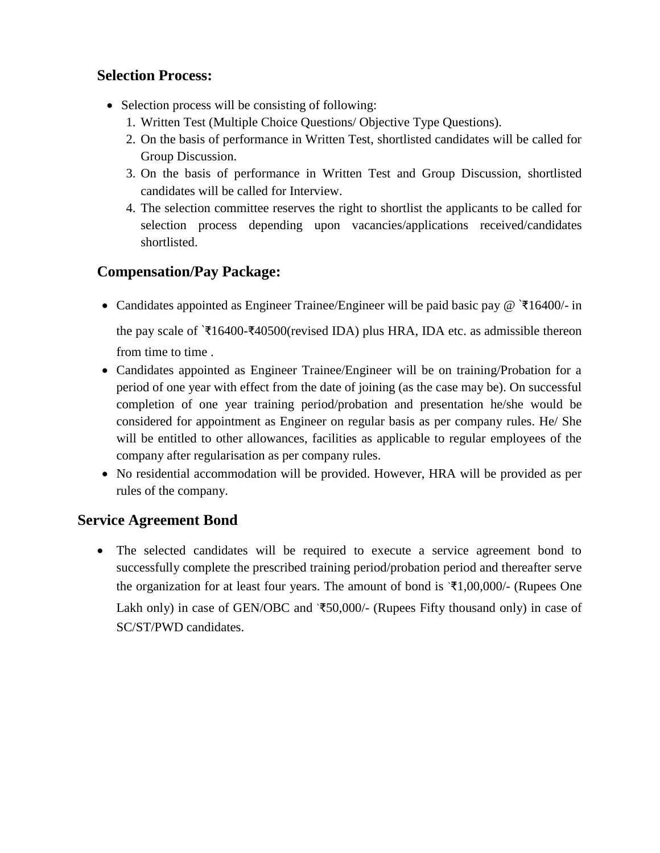#### **Selection Process:**

- Selection process will be consisting of following:
	- 1. Written Test (Multiple Choice Questions/ Objective Type Questions).
	- 2. On the basis of performance in Written Test, shortlisted candidates will be called for Group Discussion.
	- 3. On the basis of performance in Written Test and Group Discussion, shortlisted candidates will be called for Interview.
	- 4. The selection committee reserves the right to shortlist the applicants to be called for selection process depending upon vacancies/applications received/candidates shortlisted.

#### **Compensation/Pay Package:**

Candidates appointed as Engineer Trainee/Engineer will be paid basic pay @ `₹16400/- in

the pay scale of `₹16400-₹40500(revised IDA) plus HRA, IDA etc. as admissible thereon from time to time .

- Candidates appointed as Engineer Trainee/Engineer will be on training/Probation for a period of one year with effect from the date of joining (as the case may be). On successful completion of one year training period/probation and presentation he/she would be considered for appointment as Engineer on regular basis as per company rules. He/ She will be entitled to other allowances, facilities as applicable to regular employees of the company after regularisation as per company rules.
- No residential accommodation will be provided. However, HRA will be provided as per rules of the company.

#### **Service Agreement Bond**

 The selected candidates will be required to execute a service agreement bond to successfully complete the prescribed training period/probation period and thereafter serve the organization for at least four years. The amount of bond is  $\overline{*}1,00,000/$ - (Rupees One Lakh only) in case of GEN/OBC and `₹50,000/- (Rupees Fifty thousand only) in case of SC/ST/PWD candidates.